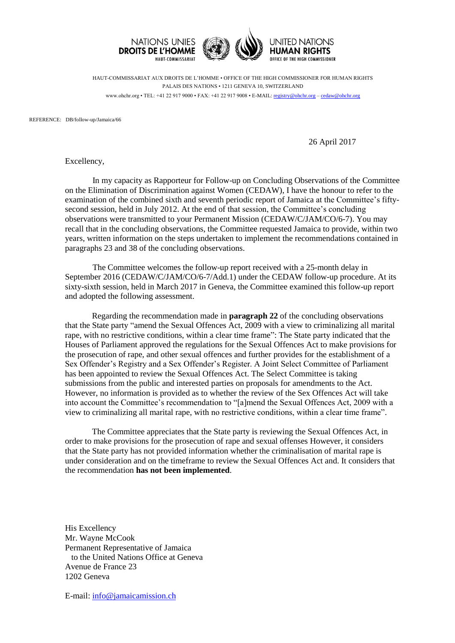

HAUT-COMMISSARIAT AUX DROITS DE L'HOMME • OFFICE OF THE HIGH COMMISSIONER FOR HUMAN RIGHTS PALAIS DES NATIONS • 1211 GENEVA 10, SWITZERLAND www.ohchr.org • TEL: +41 22 917 9000 • FAX: +41 22 917 9008 • E-MAIL: [registry@ohchr.org](mailto:registry@ohchr.org) – [cedaw@ohchr.org](mailto:cedaw@ohchr.org)

REFERENCE: DB/follow-up/Jamaica/66

26 April 2017

Excellency,

In my capacity as Rapporteur for Follow-up on Concluding Observations of the Committee on the Elimination of Discrimination against Women (CEDAW), I have the honour to refer to the examination of the combined sixth and seventh periodic report of Jamaica at the Committee's fiftysecond session, held in July 2012. At the end of that session, the Committee's concluding observations were transmitted to your Permanent Mission (CEDAW/C/JAM/CO/6-7). You may recall that in the concluding observations, the Committee requested Jamaica to provide, within two years, written information on the steps undertaken to implement the recommendations contained in paragraphs 23 and 38 of the concluding observations.

The Committee welcomes the follow-up report received with a 25-month delay in September 2016 (CEDAW/C/JAM/CO/6-7/Add.1) under the CEDAW follow-up procedure. At its sixty-sixth session, held in March 2017 in Geneva, the Committee examined this follow-up report and adopted the following assessment.

Regarding the recommendation made in **paragraph 22** of the concluding observations that the State party "amend the Sexual Offences Act, 2009 with a view to criminalizing all marital rape, with no restrictive conditions, within a clear time frame": The State party indicated that the Houses of Parliament approved the regulations for the Sexual Offences Act to make provisions for the prosecution of rape, and other sexual offences and further provides for the establishment of a Sex Offender's Registry and a Sex Offender's Register. A Joint Select Committee of Parliament has been appointed to review the Sexual Offences Act. The Select Committee is taking submissions from the public and interested parties on proposals for amendments to the Act. However, no information is provided as to whether the review of the Sex Offences Act will take into account the Committee's recommendation to "[a]mend the Sexual Offences Act, 2009 with a view to criminalizing all marital rape, with no restrictive conditions, within a clear time frame".

The Committee appreciates that the State party is reviewing the Sexual Offences Act, in order to make provisions for the prosecution of rape and sexual offenses However, it considers that the State party has not provided information whether the criminalisation of marital rape is under consideration and on the timeframe to review the Sexual Offences Act and. It considers that the recommendation **has not been implemented**.

His Excellency Mr. Wayne McCook Permanent Representative of Jamaica to the United Nations Office at Geneva Avenue de France 23 1202 Geneva

E-mail: [info@jamaicamission.ch](mailto:info@jamaicamission.ch)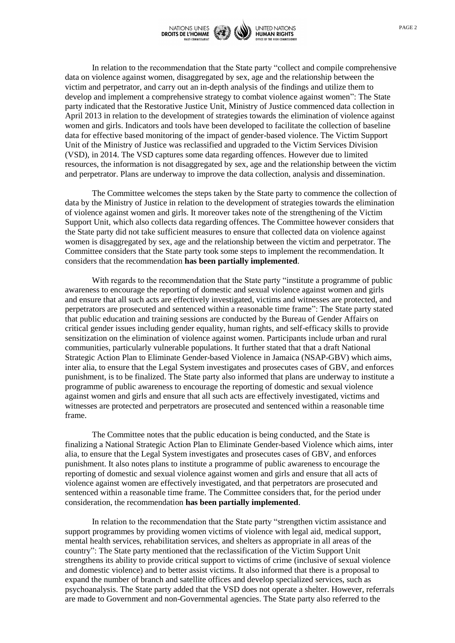

In relation to the recommendation that the State party "collect and compile comprehensive data on violence against women, disaggregated by sex, age and the relationship between the victim and perpetrator, and carry out an in-depth analysis of the findings and utilize them to develop and implement a comprehensive strategy to combat violence against women": The State party indicated that the Restorative Justice Unit, Ministry of Justice commenced data collection in April 2013 in relation to the development of strategies towards the elimination of violence against women and girls. Indicators and tools have been developed to facilitate the collection of baseline data for effective based monitoring of the impact of gender-based violence. The Victim Support Unit of the Ministry of Justice was reclassified and upgraded to the Victim Services Division (VSD), in 2014. The VSD captures some data regarding offences. However due to limited resources, the information is not disaggregated by sex, age and the relationship between the victim and perpetrator. Plans are underway to improve the data collection, analysis and dissemination.

The Committee welcomes the steps taken by the State party to commence the collection of data by the Ministry of Justice in relation to the development of strategies towards the elimination of violence against women and girls. It moreover takes note of the strengthening of the Victim Support Unit, which also collects data regarding offences. The Committee however considers that the State party did not take sufficient measures to ensure that collected data on violence against women is disaggregated by sex, age and the relationship between the victim and perpetrator. The Committee considers that the State party took some steps to implement the recommendation. It considers that the recommendation **has been partially implemented**.

With regards to the recommendation that the State party "institute a programme of public awareness to encourage the reporting of domestic and sexual violence against women and girls and ensure that all such acts are effectively investigated, victims and witnesses are protected, and perpetrators are prosecuted and sentenced within a reasonable time frame": The State party stated that public education and training sessions are conducted by the Bureau of Gender Affairs on critical gender issues including gender equality, human rights, and self-efficacy skills to provide sensitization on the elimination of violence against women. Participants include urban and rural communities, particularly vulnerable populations. It further stated that that a draft National Strategic Action Plan to Eliminate Gender-based Violence in Jamaica (NSAP-GBV) which aims, inter alia, to ensure that the Legal System investigates and prosecutes cases of GBV, and enforces punishment, is to be finalized. The State party also informed that plans are underway to institute a programme of public awareness to encourage the reporting of domestic and sexual violence against women and girls and ensure that all such acts are effectively investigated, victims and witnesses are protected and perpetrators are prosecuted and sentenced within a reasonable time frame.

The Committee notes that the public education is being conducted, and the State is finalizing a National Strategic Action Plan to Eliminate Gender-based Violence which aims, inter alia, to ensure that the Legal System investigates and prosecutes cases of GBV, and enforces punishment. It also notes plans to institute a programme of public awareness to encourage the reporting of domestic and sexual violence against women and girls and ensure that all acts of violence against women are effectively investigated, and that perpetrators are prosecuted and sentenced within a reasonable time frame. The Committee considers that, for the period under consideration, the recommendation **has been partially implemented**.

In relation to the recommendation that the State party "strengthen victim assistance and support programmes by providing women victims of violence with legal aid, medical support, mental health services, rehabilitation services, and shelters as appropriate in all areas of the country": The State party mentioned that the reclassification of the Victim Support Unit strengthens its ability to provide critical support to victims of crime (inclusive of sexual violence and domestic violence) and to better assist victims. It also informed that there is a proposal to expand the number of branch and satellite offices and develop specialized services, such as psychoanalysis. The State party added that the VSD does not operate a shelter. However, referrals are made to Government and non-Governmental agencies. The State party also referred to the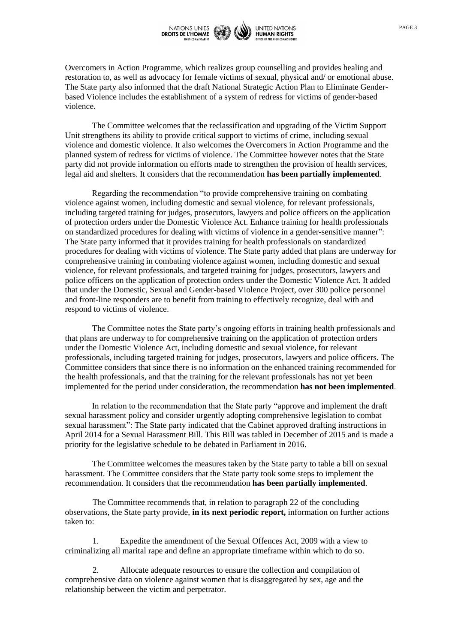

Overcomers in Action Programme, which realizes group counselling and provides healing and restoration to, as well as advocacy for female victims of sexual, physical and/ or emotional abuse. The State party also informed that the draft National Strategic Action Plan to Eliminate Genderbased Violence includes the establishment of a system of redress for victims of gender-based violence.

The Committee welcomes that the reclassification and upgrading of the Victim Support Unit strengthens its ability to provide critical support to victims of crime, including sexual violence and domestic violence. It also welcomes the Overcomers in Action Programme and the planned system of redress for victims of violence. The Committee however notes that the State party did not provide information on efforts made to strengthen the provision of health services, legal aid and shelters. It considers that the recommendation **has been partially implemented**.

Regarding the recommendation "to provide comprehensive training on combating violence against women, including domestic and sexual violence, for relevant professionals, including targeted training for judges, prosecutors, lawyers and police officers on the application of protection orders under the Domestic Violence Act. Enhance training for health professionals on standardized procedures for dealing with victims of violence in a gender-sensitive manner": The State party informed that it provides training for health professionals on standardized procedures for dealing with victims of violence. The State party added that plans are underway for comprehensive training in combating violence against women, including domestic and sexual violence, for relevant professionals, and targeted training for judges, prosecutors, lawyers and police officers on the application of protection orders under the Domestic Violence Act. It added that under the Domestic, Sexual and Gender-based Violence Project, over 300 police personnel and front-line responders are to benefit from training to effectively recognize, deal with and respond to victims of violence.

The Committee notes the State party's ongoing efforts in training health professionals and that plans are underway to for comprehensive training on the application of protection orders under the Domestic Violence Act, including domestic and sexual violence, for relevant professionals, including targeted training for judges, prosecutors, lawyers and police officers. The Committee considers that since there is no information on the enhanced training recommended for the health professionals, and that the training for the relevant professionals has not yet been implemented for the period under consideration, the recommendation **has not been implemented**.

In relation to the recommendation that the State party "approve and implement the draft sexual harassment policy and consider urgently adopting comprehensive legislation to combat sexual harassment": The State party indicated that the Cabinet approved drafting instructions in April 2014 for a Sexual Harassment Bill. This Bill was tabled in December of 2015 and is made a priority for the legislative schedule to be debated in Parliament in 2016.

The Committee welcomes the measures taken by the State party to table a bill on sexual harassment. The Committee considers that the State party took some steps to implement the recommendation. It considers that the recommendation **has been partially implemented**.

The Committee recommends that, in relation to paragraph 22 of the concluding observations, the State party provide, **in its next periodic report,** information on further actions taken to:

1. Expedite the amendment of the Sexual Offences Act, 2009 with a view to criminalizing all marital rape and define an appropriate timeframe within which to do so.

2. Allocate adequate resources to ensure the collection and compilation of comprehensive data on violence against women that is disaggregated by sex, age and the relationship between the victim and perpetrator.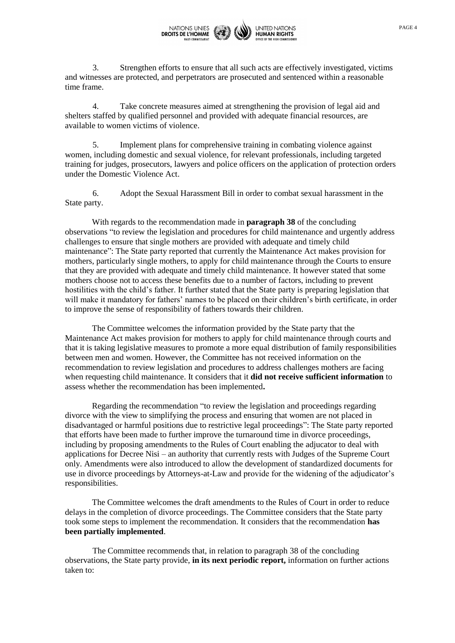

3. Strengthen efforts to ensure that all such acts are effectively investigated, victims and witnesses are protected, and perpetrators are prosecuted and sentenced within a reasonable time frame.

4. Take concrete measures aimed at strengthening the provision of legal aid and shelters staffed by qualified personnel and provided with adequate financial resources, are available to women victims of violence.

5. Implement plans for comprehensive training in combating violence against women, including domestic and sexual violence, for relevant professionals, including targeted training for judges, prosecutors, lawyers and police officers on the application of protection orders under the Domestic Violence Act.

6. Adopt the Sexual Harassment Bill in order to combat sexual harassment in the State party.

With regards to the recommendation made in **paragraph 38** of the concluding observations "to review the legislation and procedures for child maintenance and urgently address challenges to ensure that single mothers are provided with adequate and timely child maintenance": The State party reported that currently the Maintenance Act makes provision for mothers, particularly single mothers, to apply for child maintenance through the Courts to ensure that they are provided with adequate and timely child maintenance. It however stated that some mothers choose not to access these benefits due to a number of factors, including to prevent hostilities with the child's father. It further stated that the State party is preparing legislation that will make it mandatory for fathers' names to be placed on their children's birth certificate, in order to improve the sense of responsibility of fathers towards their children.

The Committee welcomes the information provided by the State party that the Maintenance Act makes provision for mothers to apply for child maintenance through courts and that it is taking legislative measures to promote a more equal distribution of family responsibilities between men and women. However, the Committee has not received information on the recommendation to review legislation and procedures to address challenges mothers are facing when requesting child maintenance. It considers that it **did not receive sufficient information** to assess whether the recommendation has been implemented**.**

Regarding the recommendation "to review the legislation and proceedings regarding divorce with the view to simplifying the process and ensuring that women are not placed in disadvantaged or harmful positions due to restrictive legal proceedings": The State party reported that efforts have been made to further improve the turnaround time in divorce proceedings, including by proposing amendments to the Rules of Court enabling the adjucator to deal with applications for Decree Nisi – an authority that currently rests with Judges of the Supreme Court only. Amendments were also introduced to allow the development of standardized documents for use in divorce proceedings by Attorneys-at-Law and provide for the widening of the adjudicator's responsibilities.

The Committee welcomes the draft amendments to the Rules of Court in order to reduce delays in the completion of divorce proceedings. The Committee considers that the State party took some steps to implement the recommendation. It considers that the recommendation **has been partially implemented**.

The Committee recommends that, in relation to paragraph 38 of the concluding observations, the State party provide, **in its next periodic report,** information on further actions taken to: